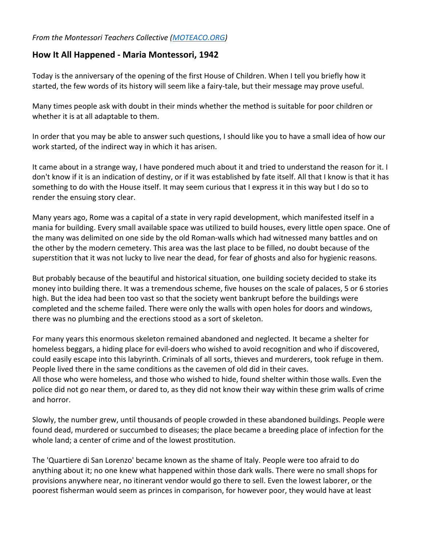## *From the Montessori Teachers Collective [\(MOTEACO.ORG\)](https://moteaco.org/)*

## **How It All Happened - Maria Montessori, 1942**

Today is the anniversary of the opening of the first House of Children. When I tell you briefly how it started, the few words of its history will seem like a fairy-tale, but their message may prove useful.

Many times people ask with doubt in their minds whether the method is suitable for poor children or whether it is at all adaptable to them.

In order that you may be able to answer such questions, I should like you to have a small idea of how our work started, of the indirect way in which it has arisen.

It came about in a strange way, I have pondered much about it and tried to understand the reason for it. I don't know if it is an indication of destiny, or if it was established by fate itself. All that I know is that it has something to do with the House itself. It may seem curious that I express it in this way but I do so to render the ensuing story clear.

Many years ago, Rome was a capital of a state in very rapid development, which manifested itself in a mania for building. Every small available space was utilized to build houses, every little open space. One of the many was delimited on one side by the old Roman-walls which had witnessed many battles and on the other by the modern cemetery. This area was the last place to be filled, no doubt because of the superstition that it was not lucky to live near the dead, for fear of ghosts and also for hygienic reasons.

But probably because of the beautiful and historical situation, one building society decided to stake its money into building there. It was a tremendous scheme, five houses on the scale of palaces, 5 or 6 stories high. But the idea had been too vast so that the society went bankrupt before the buildings were completed and the scheme failed. There were only the walls with open holes for doors and windows, there was no plumbing and the erections stood as a sort of skeleton.

For many years this enormous skeleton remained abandoned and neglected. It became a shelter for homeless beggars, a hiding place for evil-doers who wished to avoid recognition and who if discovered, could easily escape into this labyrinth. Criminals of all sorts, thieves and murderers, took refuge in them. People lived there in the same conditions as the cavemen of old did in their caves. All those who were homeless, and those who wished to hide, found shelter within those walls. Even the

police did not go near them, or dared to, as they did not know their way within these grim walls of crime and horror.

Slowly, the number grew, until thousands of people crowded in these abandoned buildings. People were found dead, murdered or succumbed to diseases; the place became a breeding place of infection for the whole land; a center of crime and of the lowest prostitution.

The 'Quartiere di San Lorenzo' became known as the shame of Italy. People were too afraid to do anything about it; no one knew what happened within those dark walls. There were no small shops for provisions anywhere near, no itinerant vendor would go there to sell. Even the lowest laborer, or the poorest fisherman would seem as princes in comparison, for however poor, they would have at least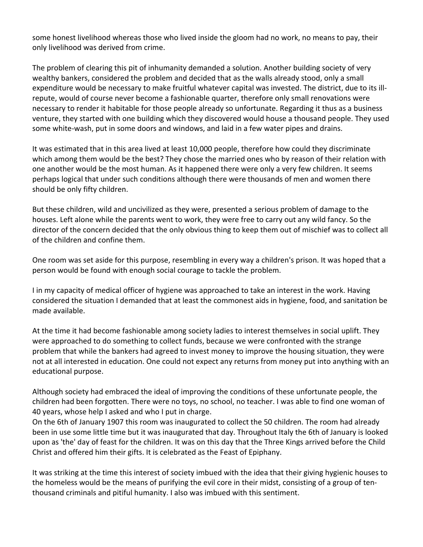some honest livelihood whereas those who lived inside the gloom had no work, no means to pay, their only livelihood was derived from crime.

The problem of clearing this pit of inhumanity demanded a solution. Another building society of very wealthy bankers, considered the problem and decided that as the walls already stood, only a small expenditure would be necessary to make fruitful whatever capital was invested. The district, due to its illrepute, would of course never become a fashionable quarter, therefore only small renovations were necessary to render it habitable for those people already so unfortunate. Regarding it thus as a business venture, they started with one building which they discovered would house a thousand people. They used some white-wash, put in some doors and windows, and laid in a few water pipes and drains.

It was estimated that in this area lived at least 10,000 people, therefore how could they discriminate which among them would be the best? They chose the married ones who by reason of their relation with one another would be the most human. As it happened there were only a very few children. It seems perhaps logical that under such conditions although there were thousands of men and women there should be only fifty children.

But these children, wild and uncivilized as they were, presented a serious problem of damage to the houses. Left alone while the parents went to work, they were free to carry out any wild fancy. So the director of the concern decided that the only obvious thing to keep them out of mischief was to collect all of the children and confine them.

One room was set aside for this purpose, resembling in every way a children's prison. It was hoped that a person would be found with enough social courage to tackle the problem.

I in my capacity of medical officer of hygiene was approached to take an interest in the work. Having considered the situation I demanded that at least the commonest aids in hygiene, food, and sanitation be made available.

At the time it had become fashionable among society ladies to interest themselves in social uplift. They were approached to do something to collect funds, because we were confronted with the strange problem that while the bankers had agreed to invest money to improve the housing situation, they were not at all interested in education. One could not expect any returns from money put into anything with an educational purpose.

Although society had embraced the ideal of improving the conditions of these unfortunate people, the children had been forgotten. There were no toys, no school, no teacher. I was able to find one woman of 40 years, whose help I asked and who I put in charge.

On the 6th of January 1907 this room was inaugurated to collect the 50 children. The room had already been in use some little time but it was inaugurated that day. Throughout Italy the 6th of January is looked upon as 'the' day of feast for the children. It was on this day that the Three Kings arrived before the Child Christ and offered him their gifts. It is celebrated as the Feast of Epiphany.

It was striking at the time this interest of society imbued with the idea that their giving hygienic houses to the homeless would be the means of purifying the evil core in their midst, consisting of a group of tenthousand criminals and pitiful humanity. I also was imbued with this sentiment.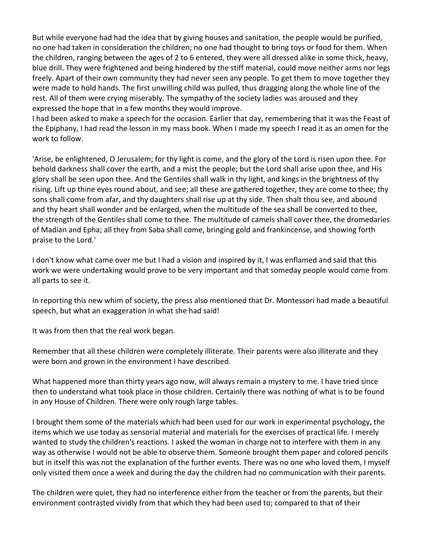But while everyone had had the idea that by giving houses and sanitation, the people would be purified, no one had taken in consideration the children; no one had thought to bring toys or food for them. When the children, ranging between the ages of 2 to 6 entered, they were all dressed alike in some thick, heavy, blue drill. They were frightened and being hindered by the stiff material, could move neither arms nor legs freely. Apart of their own community they had never seen any people. To get them to move together they were made to hold hands. The first unwilling child was pulled, thus dragging along the whole line of the rest. All of them were crying miserably. The sympathy of the society ladies was aroused and they expressed the hope that in a few months they would improve.

I had been asked to make a speech for the occasion. Earlier that day, remembering that it was the Feast of the Epiphany, I had read the lesson in my mass book. When I made my speech I read it as an omen for the work to follow.

'Arise, be enlightened, O Jerusalem; for thy light is come, and the glory of the Lord is risen upon thee. For behold darkness shall cover the earth, and a mist the people; but the Lord shall arise upon thee, and His glory shall be seen upon thee. And the Gentiles shall walk in thy light, and kings in the brightness of thy rising. Lift up thine eyes round about, and see; all these are gathered together, they are come to thee; thy sons shall come from afar, and thy daughters shall rise up at thy side. Then shalt thou see, and abound and thy heart shall wonder and be enlarged, when the multitude of the sea shall be converted to thee, the strength of the Gentiles shall come to thee. The multitude of camels shall cover thee, the dromedaries of Madian and Epha; all they from Saba shall come, bringing gold and frankincense, and showing forth praise to the Lord.'

I don't know what came over me but I had a vision and inspired by it, I was enflamed and said that this work we were undertaking would prove to be very important and that someday people would come from all parts to see it.

In reporting this new whim of society, the press also mentioned that Dr. Montessori had made a beautiful speech, but what an exaggeration in what she had said!

It was from then that the real work began.

Remember that all these children were completely illiterate. Their parents were also illiterate and they were born and grown in the environment I have described.

What happened more than thirty years ago now, will always remain a mystery to me. I have tried since then to understand what took place in those children. Certainly there was nothing of what is to be found in any House of Children. There were only rough large tables.

I brought them some of the materials which had been used for our work in experimental psychology, the items which we use today as sensorial material and materials for the exercises of practical life. I merely wanted to study the children's reactions. I asked the woman in charge not to interfere with them in any way as otherwise I would not be able to observe them. Someone brought them paper and colored pencils but in itself this was not the explanation of the further events. There was no one who loved them, I myself only visited them once a week and during the day the children had no communication with their parents.

The children were quiet, they had no interference either from the teacher or from the parents, but their environment contrasted vividly from that which they had been used to; compared to that of their